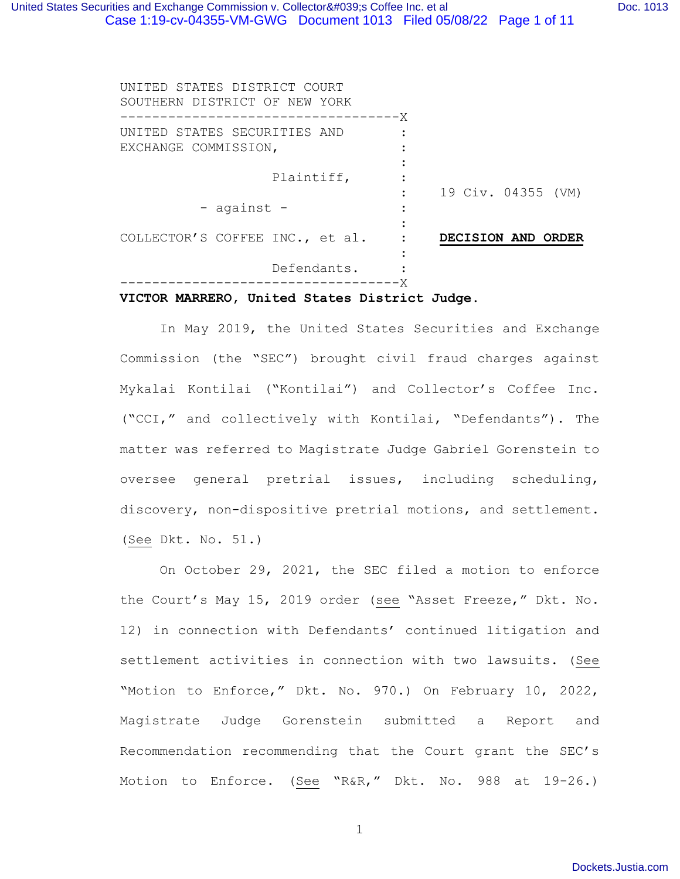| UNITED STATES DISTRICT COURT<br>SOUTHERN DISTRICT OF NEW YORK |                    |
|---------------------------------------------------------------|--------------------|
| ------------------------------X                               |                    |
| UNITED STATES SECURITIES AND                                  |                    |
| EXCHANGE COMMISSION,                                          |                    |
|                                                               |                    |
| Plaintiff,                                                    |                    |
|                                                               | 19 Civ. 04355 (VM) |
| - against -                                                   |                    |
|                                                               |                    |
| COLLECTOR'S COFFEE INC., et al.                               | DECISION AND ORDER |
|                                                               |                    |
| Defendants.                                                   |                    |
|                                                               |                    |

#### **VICTOR MARRERO, United States District Judge.**

In May 2019, the United States Securities and Exchange Commission (the "SEC") brought civil fraud charges against Mykalai Kontilai ("Kontilai") and Collector's Coffee Inc. ("CCI," and collectively with Kontilai, "Defendants"). The matter was referred to Magistrate Judge Gabriel Gorenstein to oversee general pretrial issues, including scheduling, discovery, non-dispositive pretrial motions, and settlement. (See Dkt. No. 51.)

On October 29, 2021, the SEC filed a motion to enforce the Court's May 15, 2019 order (see "Asset Freeze," Dkt. No. 12) in connection with Defendants' continued litigation and settlement activities in connection with two lawsuits. (See "Motion to Enforce," Dkt. No. 970.) On February 10, 2022, Magistrate Judge Gorenstein submitted a Report and Recommendation recommending that the Court grant the SEC's Motion to Enforce. (See "R&R," Dkt. No. 988 at 19-26.)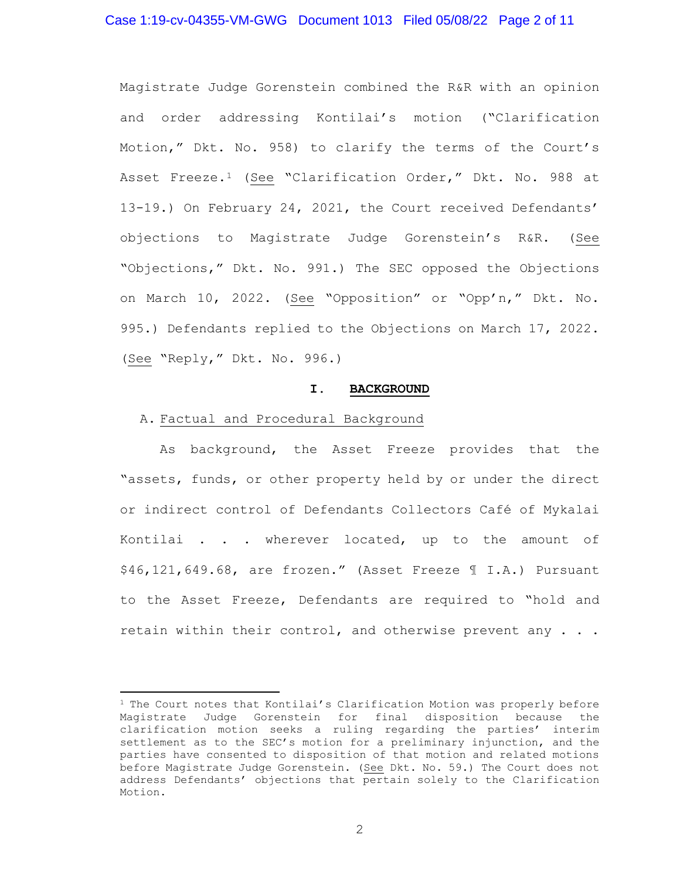### Case 1:19-cv-04355-VM-GWG Document 1013 Filed 05/08/22 Page 2 of 11

Magistrate Judge Gorenstein combined the R&R with an opinion and order addressing Kontilai's motion ("Clarification Motion," Dkt. No. 958) to clarify the terms of the Court's Asset Freeze.<sup>[1](#page-1-0)</sup> (See "Clarification Order," Dkt. No. 988 at 13-19.) On February 24, 2021, the Court received Defendants' objections to Magistrate Judge Gorenstein's R&R. (See "Objections," Dkt. No. 991.) The SEC opposed the Objections on March 10, 2022. (See "Opposition" or "Opp'n," Dkt. No. 995.) Defendants replied to the Objections on March 17, 2022. (See "Reply," Dkt. No. 996.)

#### **I. BACKGROUND**

#### A. Factual and Procedural Background

As background, the Asset Freeze provides that the "assets, funds, or other property held by or under the direct or indirect control of Defendants Collectors Café of Mykalai Kontilai . . . wherever located, up to the amount of \$46,121,649.68, are frozen." (Asset Freeze ¶ I.A.) Pursuant to the Asset Freeze, Defendants are required to "hold and retain within their control, and otherwise prevent any . . .

<span id="page-1-0"></span><sup>&</sup>lt;sup>1</sup> The Court notes that Kontilai's Clarification Motion was properly before Magistrate Judge Gorenstein for final disposition because the clarification motion seeks a ruling regarding the parties' interim settlement as to the SEC's motion for a preliminary injunction, and the parties have consented to disposition of that motion and related motions before Magistrate Judge Gorenstein. (See Dkt. No. 59.) The Court does not address Defendants' objections that pertain solely to the Clarification Motion.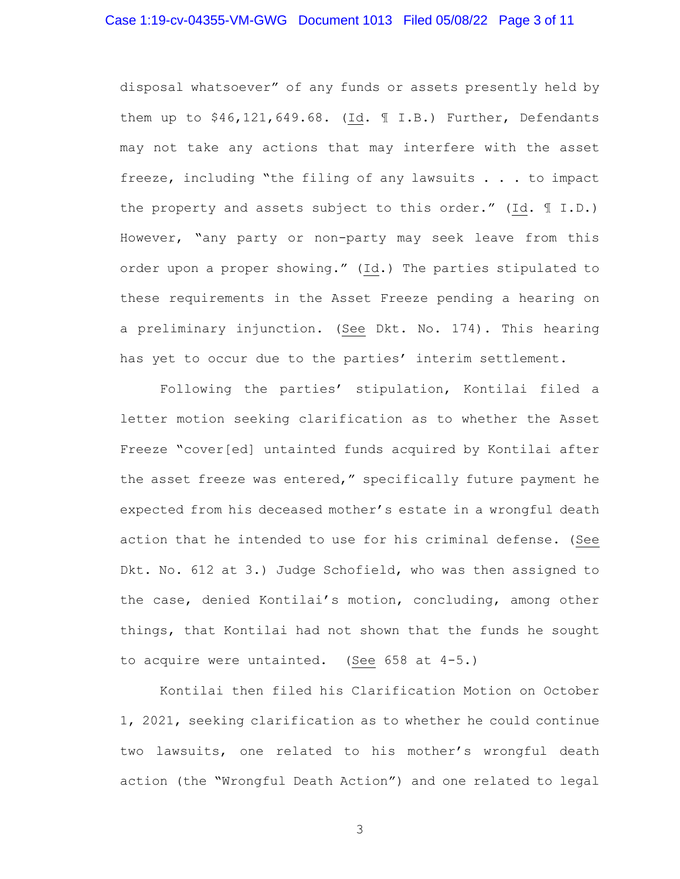#### Case 1:19-cv-04355-VM-GWG Document 1013 Filed 05/08/22 Page 3 of 11

disposal whatsoever" of any funds or assets presently held by them up to \$46,121,649.68. (Id. ¶ I.B.) Further, Defendants may not take any actions that may interfere with the asset freeze, including "the filing of any lawsuits . . . to impact the property and assets subject to this order." (Id. ¶ I.D.) However, "any party or non-party may seek leave from this order upon a proper showing." (Id.) The parties stipulated to these requirements in the Asset Freeze pending a hearing on a preliminary injunction. (See Dkt. No. 174). This hearing has yet to occur due to the parties' interim settlement.

Following the parties' stipulation, Kontilai filed a letter motion seeking clarification as to whether the Asset Freeze "cover[ed] untainted funds acquired by Kontilai after the asset freeze was entered," specifically future payment he expected from his deceased mother's estate in a wrongful death action that he intended to use for his criminal defense. (See Dkt. No. 612 at 3.) Judge Schofield, who was then assigned to the case, denied Kontilai's motion, concluding, among other things, that Kontilai had not shown that the funds he sought to acquire were untainted. (See 658 at 4-5.)

Kontilai then filed his Clarification Motion on October 1, 2021, seeking clarification as to whether he could continue two lawsuits, one related to his mother's wrongful death action (the "Wrongful Death Action") and one related to legal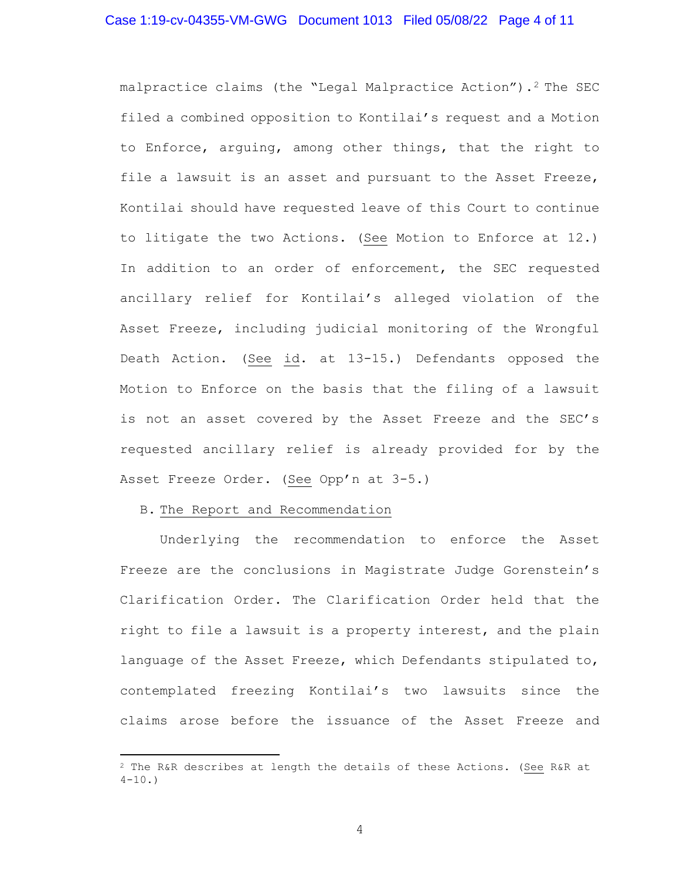# Case 1:19-cv-04355-VM-GWG Document 1013 Filed 05/08/22 Page 4 of 11

malpractice claims (the "Legal Malpractice Action").<sup>2</sup> The SEC filed a combined opposition to Kontilai's request and a Motion to Enforce, arguing, among other things, that the right to file a lawsuit is an asset and pursuant to the Asset Freeze, Kontilai should have requested leave of this Court to continue to litigate the two Actions. (See Motion to Enforce at 12.) In addition to an order of enforcement, the SEC requested ancillary relief for Kontilai's alleged violation of the Asset Freeze, including judicial monitoring of the Wrongful Death Action. (See id. at 13-15.) Defendants opposed the Motion to Enforce on the basis that the filing of a lawsuit is not an asset covered by the Asset Freeze and the SEC's requested ancillary relief is already provided for by the Asset Freeze Order. (See Opp'n at 3-5.)

#### B. The Report and Recommendation

Underlying the recommendation to enforce the Asset Freeze are the conclusions in Magistrate Judge Gorenstein's Clarification Order. The Clarification Order held that the right to file a lawsuit is a property interest, and the plain language of the Asset Freeze, which Defendants stipulated to, contemplated freezing Kontilai's two lawsuits since the claims arose before the issuance of the Asset Freeze and

<span id="page-3-0"></span><sup>2</sup> The R&R describes at length the details of these Actions. (See R&R at  $4-10.$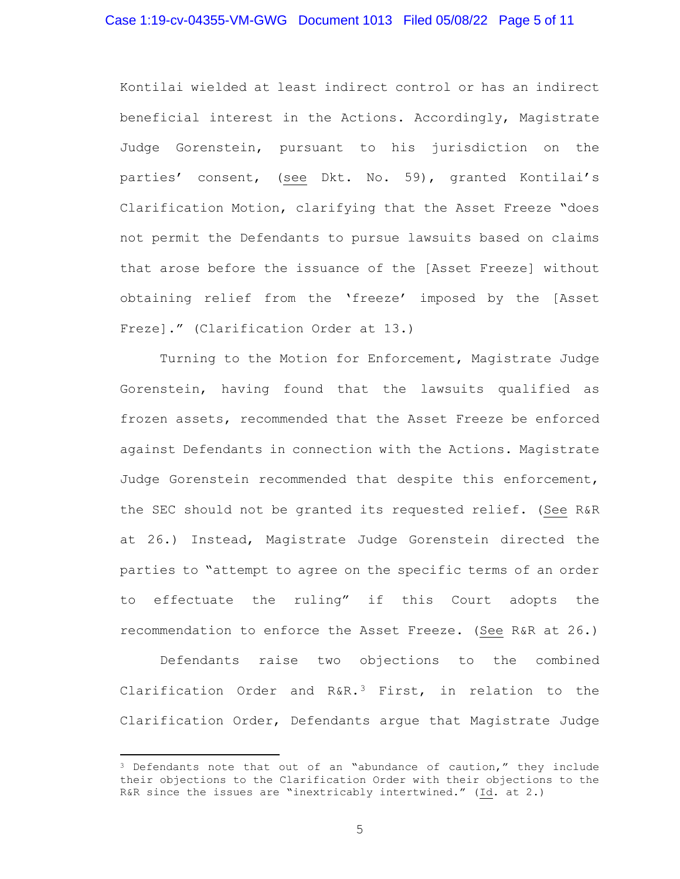#### Case 1:19-cv-04355-VM-GWG Document 1013 Filed 05/08/22 Page 5 of 11

Kontilai wielded at least indirect control or has an indirect beneficial interest in the Actions. Accordingly, Magistrate Judge Gorenstein, pursuant to his jurisdiction on the parties' consent, (see Dkt. No. 59), granted Kontilai's Clarification Motion, clarifying that the Asset Freeze "does not permit the Defendants to pursue lawsuits based on claims that arose before the issuance of the [Asset Freeze] without obtaining relief from the 'freeze' imposed by the [Asset Freze]." (Clarification Order at 13.)

Turning to the Motion for Enforcement, Magistrate Judge Gorenstein, having found that the lawsuits qualified as frozen assets, recommended that the Asset Freeze be enforced against Defendants in connection with the Actions. Magistrate Judge Gorenstein recommended that despite this enforcement, the SEC should not be granted its requested relief. (See R&R at 26.) Instead, Magistrate Judge Gorenstein directed the parties to "attempt to agree on the specific terms of an order to effectuate the ruling" if this Court adopts the recommendation to enforce the Asset Freeze. (See R&R at 26.)

Defendants raise two objections to the combined Clarification Order and R&R.[3](#page-4-0) First, in relation to the Clarification Order, Defendants argue that Magistrate Judge

<span id="page-4-0"></span><sup>&</sup>lt;sup>3</sup> Defendants note that out of an "abundance of caution," they include their objections to the Clarification Order with their objections to the R&R since the issues are "inextricably intertwined." (Id. at 2.)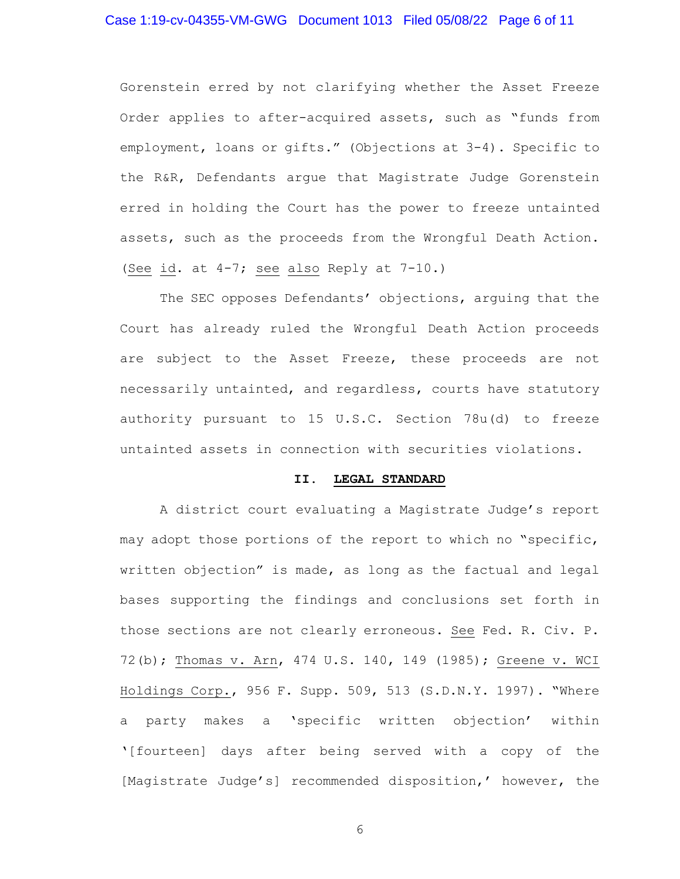# Case 1:19-cv-04355-VM-GWG Document 1013 Filed 05/08/22 Page 6 of 11

Gorenstein erred by not clarifying whether the Asset Freeze Order applies to after-acquired assets, such as "funds from employment, loans or gifts." (Objections at 3-4). Specific to the R&R, Defendants argue that Magistrate Judge Gorenstein erred in holding the Court has the power to freeze untainted assets, such as the proceeds from the Wrongful Death Action. (See id. at 4-7; see also Reply at 7-10.)

The SEC opposes Defendants' objections, arguing that the Court has already ruled the Wrongful Death Action proceeds are subject to the Asset Freeze, these proceeds are not necessarily untainted, and regardless, courts have statutory authority pursuant to 15 U.S.C. Section 78u(d) to freeze untainted assets in connection with securities violations.

### **II. LEGAL STANDARD**

A district court evaluating a Magistrate Judge's report may adopt those portions of the report to which no "specific, written objection" is made, as long as the factual and legal bases supporting the findings and conclusions set forth in those sections are not clearly erroneous. See Fed. R. Civ. P. 72(b); Thomas v. Arn, 474 U.S. 140, 149 (1985); Greene v. WCI Holdings Corp., 956 F. Supp. 509, 513 (S.D.N.Y. 1997). "Where a party makes a 'specific written objection' within '[fourteen] days after being served with a copy of the [Magistrate Judge's] recommended disposition,' however, the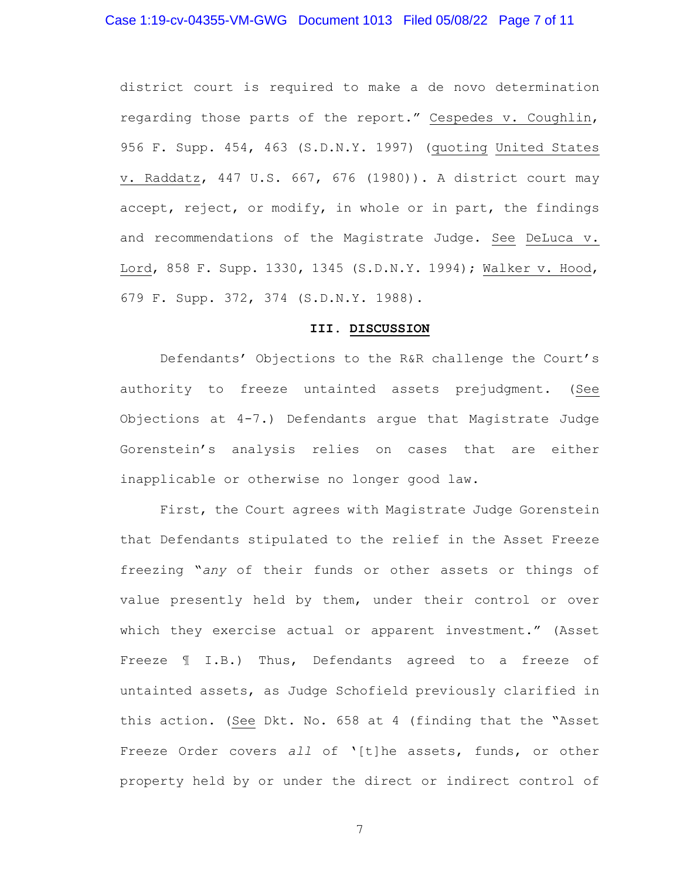district court is required to make a de novo determination regarding those parts of the report." Cespedes v. Coughlin, 956 F. Supp. 454, 463 (S.D.N.Y. 1997) (quoting United States v. Raddatz, 447 U.S. 667, 676 (1980)). A district court may accept, reject, or modify, in whole or in part, the findings and recommendations of the Magistrate Judge. See DeLuca v. Lord, 858 F. Supp. 1330, 1345 (S.D.N.Y. 1994); Walker v. Hood, 679 F. Supp. 372, 374 (S.D.N.Y. 1988).

### **III. DISCUSSION**

Defendants' Objections to the R&R challenge the Court's authority to freeze untainted assets prejudgment. (See Objections at 4-7.) Defendants argue that Magistrate Judge Gorenstein's analysis relies on cases that are either inapplicable or otherwise no longer good law.

First, the Court agrees with Magistrate Judge Gorenstein that Defendants stipulated to the relief in the Asset Freeze freezing "*any* of their funds or other assets or things of value presently held by them, under their control or over which they exercise actual or apparent investment." (Asset Freeze ¶ I.B.) Thus, Defendants agreed to a freeze of untainted assets, as Judge Schofield previously clarified in this action. (See Dkt. No. 658 at 4 (finding that the "Asset Freeze Order covers *all* of '[t]he assets, funds, or other property held by or under the direct or indirect control of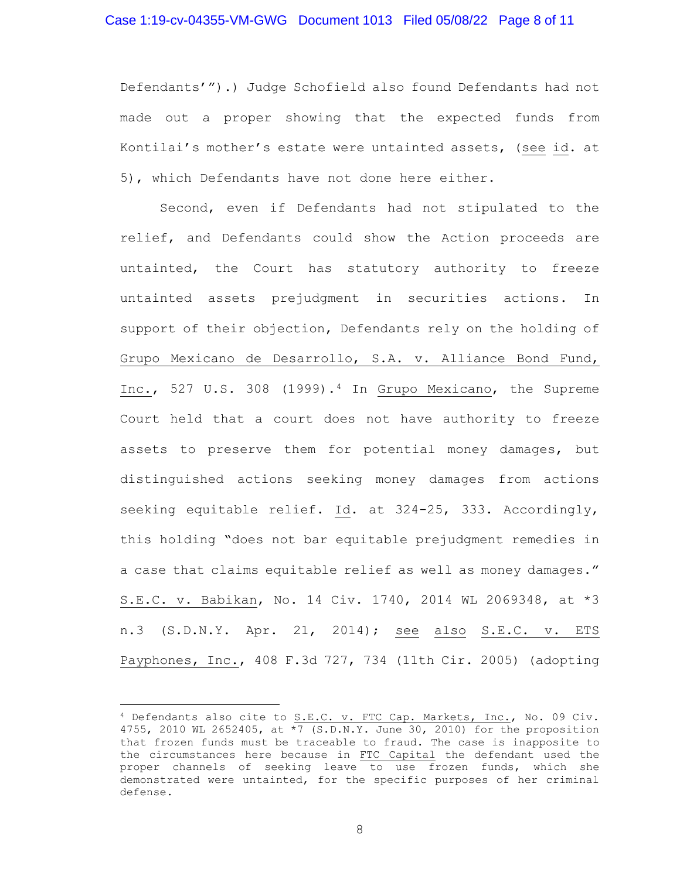### Case 1:19-cv-04355-VM-GWG Document 1013 Filed 05/08/22 Page 8 of 11

Defendants'").) Judge Schofield also found Defendants had not made out a proper showing that the expected funds from Kontilai's mother's estate were untainted assets, (see id. at 5), which Defendants have not done here either.

Second, even if Defendants had not stipulated to the relief, and Defendants could show the Action proceeds are untainted, the Court has statutory authority to freeze untainted assets prejudgment in securities actions. In support of their objection, Defendants rely on the holding of Grupo Mexicano de Desarrollo, S.A. v. Alliance Bond Fund, Inc., 527 U.S. 308 (1999).[4](#page-7-0) In Grupo Mexicano, the Supreme Court held that a court does not have authority to freeze assets to preserve them for potential money damages, but distinguished actions seeking money damages from actions seeking equitable relief. Id. at 324-25, 333. Accordingly, this holding "does not bar equitable prejudgment remedies in a case that claims equitable relief as well as money damages." S.E.C. v. Babikan, No. 14 Civ. 1740, 2014 WL 2069348, at \*3 n.3 (S.D.N.Y. Apr. 21, 2014); see also S.E.C. v. ETS Payphones, Inc., 408 F.3d 727, 734 (11th Cir. 2005) (adopting

<span id="page-7-0"></span><sup>4</sup> Defendants also cite to S.E.C. v. FTC Cap. Markets, Inc., No. 09 Civ. 4755, 2010 WL 2652405, at  $\sqrt[3]{5}$  (S.D.N.Y. June 30, 2010) for the proposition that frozen funds must be traceable to fraud. The case is inapposite to the circumstances here because in FTC Capital the defendant used the proper channels of seeking leave to use frozen funds, which she demonstrated were untainted, for the specific purposes of her criminal defense.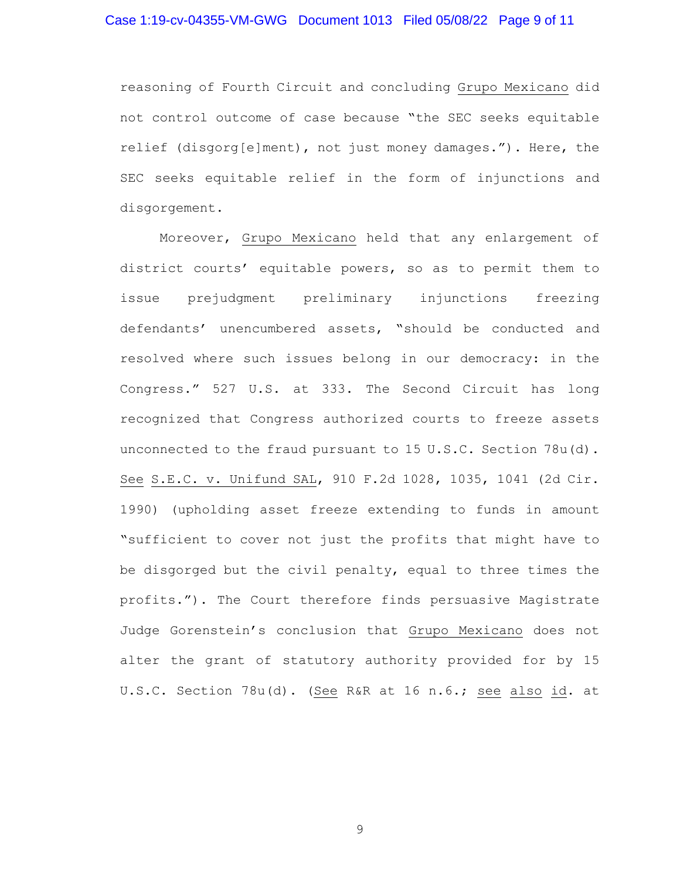# Case 1:19-cv-04355-VM-GWG Document 1013 Filed 05/08/22 Page 9 of 11

reasoning of Fourth Circuit and concluding Grupo Mexicano did not control outcome of case because "the SEC seeks equitable relief (disgorg[e]ment), not just money damages."). Here, the SEC seeks equitable relief in the form of injunctions and disgorgement.

Moreover, Grupo Mexicano held that any enlargement of district courts' equitable powers, so as to permit them to issue prejudgment preliminary injunctions freezing defendants' unencumbered assets, "should be conducted and resolved where such issues belong in our democracy: in the Congress." 527 U.S. at 333. The Second Circuit has long recognized that Congress authorized courts to freeze assets unconnected to the fraud pursuant to 15 U.S.C. Section 78u(d). See S.E.C. v. Unifund SAL, 910 F.2d 1028, 1035, 1041 (2d Cir. 1990) (upholding asset freeze extending to funds in amount "sufficient to cover not just the profits that might have to be disgorged but the civil penalty, equal to three times the profits."). The Court therefore finds persuasive Magistrate Judge Gorenstein's conclusion that Grupo Mexicano does not alter the grant of statutory authority provided for by 15 U.S.C. Section 78u(d). (See R&R at 16 n.6.; see also id. at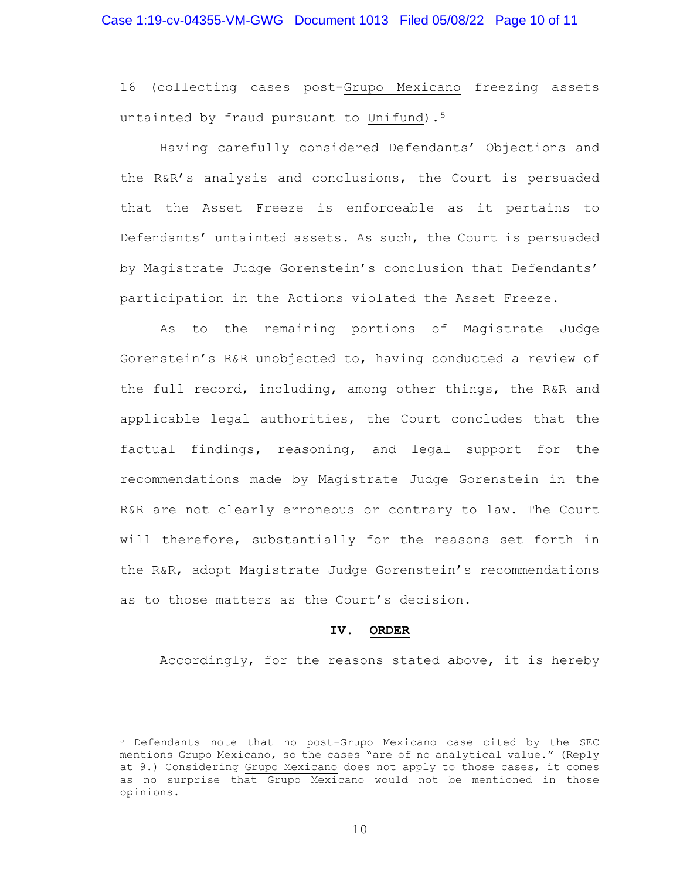16 (collecting cases post-Grupo Mexicano freezing assets untainted by fraud pursuant to Unifund).<sup>[5](#page-9-0)</sup>

Having carefully considered Defendants' Objections and the R&R's analysis and conclusions, the Court is persuaded that the Asset Freeze is enforceable as it pertains to Defendants' untainted assets. As such, the Court is persuaded by Magistrate Judge Gorenstein's conclusion that Defendants' participation in the Actions violated the Asset Freeze.

As to the remaining portions of Magistrate Judge Gorenstein's R&R unobjected to, having conducted a review of the full record, including, among other things, the R&R and applicable legal authorities, the Court concludes that the factual findings, reasoning, and legal support for the recommendations made by Magistrate Judge Gorenstein in the R&R are not clearly erroneous or contrary to law. The Court will therefore, substantially for the reasons set forth in the R&R, adopt Magistrate Judge Gorenstein's recommendations as to those matters as the Court's decision.

#### **IV. ORDER**

Accordingly, for the reasons stated above, it is hereby

<span id="page-9-0"></span><sup>5</sup> Defendants note that no post-Grupo Mexicano case cited by the SEC mentions Grupo Mexicano, so the cases "are of no analytical value." (Reply at 9.) Considering Grupo Mexicano does not apply to those cases, it comes as no surprise that Grupo Mexicano would not be mentioned in those opinions.